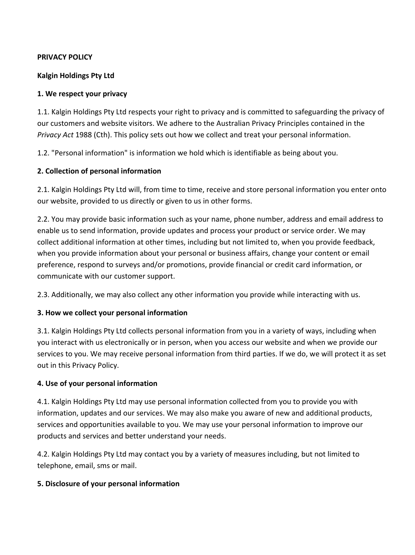#### **PRIVACY POLICY**

#### **Kalgin Holdings Pty Ltd**

#### **1. We respect your privacy**

1.1. Kalgin Holdings Pty Ltd respects your right to privacy and is committed to safeguarding the privacy of our customers and website visitors. We adhere to the Australian Privacy Principles contained in the *Privacy Act* 1988 (Cth). This policy sets out how we collect and treat your personal information.

1.2. "Personal information" is information we hold which is identifiable as being about you.

#### **2. Collection of personal information**

2.1. Kalgin Holdings Pty Ltd will, from time to time, receive and store personal information you enter onto our website, provided to us directly or given to us in other forms.

2.2. You may provide basic information such as your name, phone number, address and email address to enable us to send information, provide updates and process your product or service order. We may collect additional information at other times, including but not limited to, when you provide feedback, when you provide information about your personal or business affairs, change your content or email preference, respond to surveys and/or promotions, provide financial or credit card information, or communicate with our customer support.

2.3. Additionally, we may also collect any other information you provide while interacting with us.

#### **3. How we collect your personal information**

3.1. Kalgin Holdings Pty Ltd collects personal information from you in a variety of ways, including when you interact with us electronically or in person, when you access our website and when we provide our services to you. We may receive personal information from third parties. If we do, we will protect it as set out in this Privacy Policy.

#### **4. Use of your personal information**

4.1. Kalgin Holdings Pty Ltd may use personal information collected from you to provide you with information, updates and our services. We may also make you aware of new and additional products, services and opportunities available to you. We may use your personal information to improve our products and services and better understand your needs.

4.2. Kalgin Holdings Pty Ltd may contact you by a variety of measures including, but not limited to telephone, email, sms or mail.

#### **5. Disclosure of your personal information**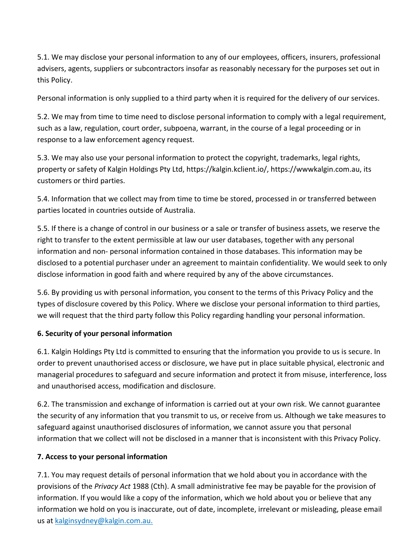5.1. We may disclose your personal information to any of our employees, officers, insurers, professional advisers, agents, suppliers or subcontractors insofar as reasonably necessary for the purposes set out in this Policy.

Personal information is only supplied to a third party when it is required for the delivery of our services.

5.2. We may from time to time need to disclose personal information to comply with a legal requirement, such as a law, regulation, court order, subpoena, warrant, in the course of a legal proceeding or in response to a law enforcement agency request.

5.3. We may also use your personal information to protect the copyright, trademarks, legal rights, property or safety of Kalgin Holdings Pty Ltd, https://kalgin.kclient.io/, https://wwwkalgin.com.au, its customers or third parties.

5.4. Information that we collect may from time to time be stored, processed in or transferred between parties located in countries outside of Australia.

5.5. If there is a change of control in our business or a sale or transfer of business assets, we reserve the right to transfer to the extent permissible at law our user databases, together with any personal information and non- personal information contained in those databases. This information may be disclosed to a potential purchaser under an agreement to maintain confidentiality. We would seek to only disclose information in good faith and where required by any of the above circumstances.

5.6. By providing us with personal information, you consent to the terms of this Privacy Policy and the types of disclosure covered by this Policy. Where we disclose your personal information to third parties, we will request that the third party follow this Policy regarding handling your personal information.

# **6. Security of your personal information**

6.1. Kalgin Holdings Pty Ltd is committed to ensuring that the information you provide to us is secure. In order to prevent unauthorised access or disclosure, we have put in place suitable physical, electronic and managerial procedures to safeguard and secure information and protect it from misuse, interference, loss and unauthorised access, modification and disclosure.

6.2. The transmission and exchange of information is carried out at your own risk. We cannot guarantee the security of any information that you transmit to us, or receive from us. Although we take measures to safeguard against unauthorised disclosures of information, we cannot assure you that personal information that we collect will not be disclosed in a manner that is inconsistent with this Privacy Policy.

#### **7. Access to your personal information**

7.1. You may request details of personal information that we hold about you in accordance with the provisions of the *Privacy Act* 1988 (Cth). A small administrative fee may be payable for the provision of information. If you would like a copy of the information, which we hold about you or believe that any information we hold on you is inaccurate, out of date, incomplete, irrelevant or misleading, please email us at [kalginsydney@kalgin.com.au.](mailto:kalginsydney@kalgin.com.au)